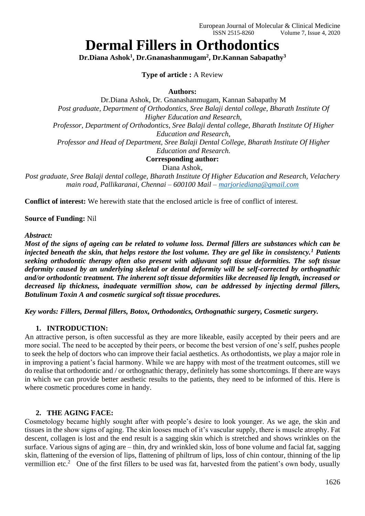# **Dermal Fillers in Orthodontics**

**Dr.Diana Ashok<sup>1</sup> , Dr.Gnanashanmugam<sup>2</sup> , Dr.Kannan Sabapathy<sup>3</sup>**

# **Type of article :** A Review

#### **Authors:**

Dr.Diana Ashok, Dr. Gnanashanmugam, Kannan Sabapathy M *Post graduate, Department of Orthodontics, Sree Balaji dental college, Bharath Institute Of Higher Education and Research, Professor, Department of Orthodontics, Sree Balaji dental college, Bharath Institute Of Higher Education and Research, Professor and Head of Department, Sree Balaji Dental College, Bharath Institute Of Higher Education and Research.* **Corresponding author:**

Diana Ashok,

*Post graduate, Sree Balaji dental college, Bharath Institute Of Higher Education and Research, Velachery main road, Pallikaranai, Chennai – 600100 Mail – [marjoriediana@gmail.com](mailto:marjoriediana@gmail.com)*

**Conflict of interest:** We herewith state that the enclosed article is free of conflict of interest.

#### **Source of Funding:** Nil

#### *Abstract:*

*Most of the signs of ageing can be related to volume loss. Dermal fillers are substances which can be injected beneath the skin, that helps restore the lost volume. They are gel like in consistency.<sup>1</sup> Patients seeking orthodontic therapy often also present with adjuvant soft tissue deformities. The soft tissue deformity caused by an underlying skeletal or dental deformity will be self-corrected by orthognathic and/or orthodontic treatment. The inherent soft tissue deformities like decreased lip length, increased or decreased lip thickness, inadequate vermillion show, can be addressed by injecting dermal fillers, Botulinum Toxin A and cosmetic surgical soft tissue procedures.* 

*Key words: Fillers, Dermal fillers, Botox, Orthodontics, Orthognathic surgery, Cosmetic surgery.*

#### **1. INTRODUCTION:**

An attractive person, is often successful as they are more likeable, easily accepted by their peers and are more social. The need to be accepted by their peers, or become the best version of one's self, pushes people to seek the help of doctors who can improve their facial aesthetics. As orthodontists, we play a major role in in improving a patient's facial harmony. While we are happy with most of the treatment outcomes, still we do realise that orthodontic and / or orthognathic therapy, definitely has some shortcomings. If there are ways in which we can provide better aesthetic results to the patients, they need to be informed of this. Here is where cosmetic procedures come in handy.

#### **2. THE AGING FACE:**

Cosmetology became highly sought after with people's desire to look younger. As we age, the skin and tissues in the show signs of aging. The skin looses much of it's vascular supply, there is muscle atrophy. Fat descent, collagen is lost and the end result is a sagging skin which is stretched and shows wrinkles on the surface. Various signs of aging are – thin, dry and wrinkled skin, loss of bone volume and facial fat, sagging skin, flattening of the eversion of lips, flattening of philtrum of lips, loss of chin contour, thinning of the lip vermillion etc.<sup>2</sup> One of the first fillers to be used was fat, harvested from the patient's own body, usually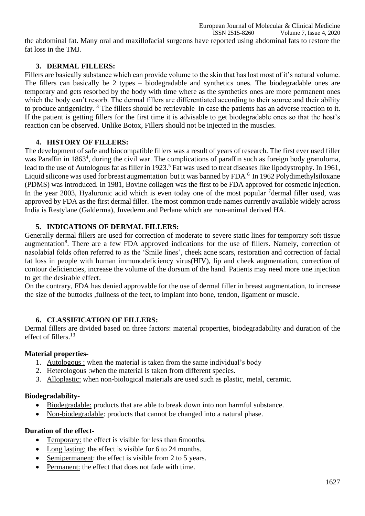the abdominal fat. Many oral and maxillofacial surgeons have reported using abdominal fats to restore the fat loss in the TMJ.

# **3. DERMAL FILLERS:**

Fillers are basically substance which can provide volume to the skin that has lost most of it's natural volume. The fillers can basically be 2 types – biodegradable and synthetics ones. The biodegradable ones are temporary and gets resorbed by the body with time where as the synthetics ones are more permanent ones which the body can't resorb. The dermal fillers are differentiated according to their source and their ability to produce antigenicity. <sup>3</sup> The fillers should be retrievable in case the patients has an adverse reaction to it. If the patient is getting fillers for the first time it is advisable to get biodegradable ones so that the host's reaction can be observed. Unlike Botox, Fillers should not be injected in the muscles.

# **4. HISTORY OF FILLERS:**

The development of safe and biocompatible fillers was a result of years of research. The first ever used filler was Paraffin in 1863<sup>4</sup>, during the civil war. The complications of paraffin such as foreign body granuloma, lead to the use of Autologous fat as filler in 1923.<sup>5</sup> Fat was used to treat diseases like lipodystrophy. In 1961, Liquid silicone was used for breast augmentation but it was banned by FDA  $<sup>6</sup>$  In 1962 Polydimethylsiloxane</sup> (PDMS) was introduced. In 1981, Bovine collagen was the first to be FDA approved for cosmetic injection. In the year 2003, Hyaluronic acid which is even today one of the most popular <sup>7</sup>dermal filler used, was approved by FDA as the first dermal filler. The most common trade names currently available widely across India is Restylane (Galderma), Juvederm and Perlane which are non-animal derived HA.

# **5. INDICATIONS OF DERMAL FILLERS:**

Generally dermal fillers are used for correction of moderate to severe static lines for temporary soft tissue augmentation<sup>8</sup>. There are a few FDA approved indications for the use of fillers. Namely, correction of nasolabial folds often referred to as the 'Smile lines', cheek acne scars, restoration and correction of facial fat loss in people with human immunodeficiency virus(HIV), lip and cheek augmentation, correction of contour deficiencies, increase the volume of the dorsum of the hand. Patients may need more one injection to get the desirable effect.

On the contrary, FDA has denied approvable for the use of dermal filler in breast augmentation, to increase the size of the buttocks ,fullness of the feet, to implant into bone, tendon, ligament or muscle.

# **6. CLASSIFICATION OF FILLERS:**

Dermal fillers are divided based on three factors: material properties, biodegradability and duration of the effect of fillers.<sup>13</sup>

# **Material properties-**

- 1. Autologous : when the material is taken from the same individual's body
- 2. Heterologous :when the material is taken from different species.
- 3. Alloplastic: when non-biological materials are used such as plastic, metal, ceramic.

# **Biodegradability-**

- Biodegradable: products that are able to break down into non harmful substance.
- Non-biodegradable: products that cannot be changed into a natural phase.

# **Duration of the effect-**

- Temporary: the effect is visible for less than 6months.
- Long lasting: the effect is visible for 6 to 24 months.
- Semipermanent: the effect is visible from 2 to 5 years.
- Permanent: the effect that does not fade with time.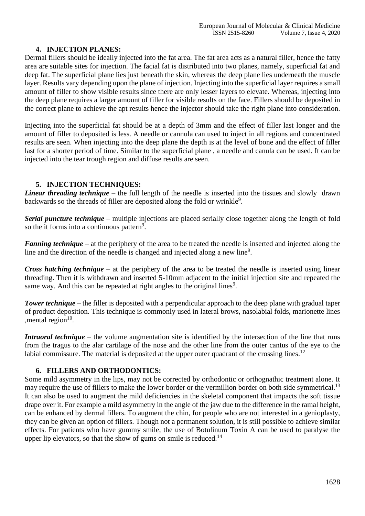#### **4. INJECTION PLANES:**

Dermal fillers should be ideally injected into the fat area. The fat area acts as a natural filler, hence the fatty area are suitable sites for injection. The facial fat is distributed into two planes, namely, superficial fat and deep fat. The superficial plane lies just beneath the skin, whereas the deep plane lies underneath the muscle layer. Results vary depending upon the plane of injection. Injecting into the superficial layer requires a small amount of filler to show visible results since there are only lesser layers to elevate. Whereas, injecting into the deep plane requires a larger amount of filler for visible results on the face. Fillers should be deposited in the correct plane to achieve the apt results hence the injector should take the right plane into consideration.

Injecting into the superficial fat should be at a depth of 3mm and the effect of filler last longer and the amount of filler to deposited is less. A needle or cannula can used to inject in all regions and concentrated results are seen. When injecting into the deep plane the depth is at the level of bone and the effect of filler last for a shorter period of time. Similar to the superficial plane , a needle and canula can be used. It can be injected into the tear trough region and diffuse results are seen.

#### **5. INJECTION TECHNIQUES:**

*Linear threading technique* – the full length of the needle is inserted into the tissues and slowly drawn backwards so the threads of filler are deposited along the fold or wrinkle<sup>9</sup>.

*Serial puncture technique* – multiple injections are placed serially close together along the length of fold so the it forms into a continuous pattern<sup>9</sup>.

*Fanning technique* – at the periphery of the area to be treated the needle is inserted and injected along the line and the direction of the needle is changed and injected along a new line<sup>9</sup>.

*Cross hatching technique* – at the periphery of the area to be treated the needle is inserted using linear threading. Then it is withdrawn and inserted 5-10mm adjacent to the initial injection site and repeated the same way. And this can be repeated at right angles to the original lines<sup>9</sup>.

*Tower technique* – the filler is deposited with a perpendicular approach to the deep plane with gradual taper of product deposition. This technique is commonly used in lateral brows, nasolabial folds, marionette lines , mental region $10$ .

*Intraoral technique* – the volume augmentation site is identified by the intersection of the line that runs from the tragus to the alar cartilage of the nose and the other line from the outer cantus of the eve to the labial commissure. The material is deposited at the upper outer quadrant of the crossing lines.<sup>12</sup>

# **6. FILLERS AND ORTHODONTICS:**

Some mild asymmetry in the lips, may not be corrected by orthodontic or orthognathic treatment alone. It may require the use of fillers to make the lower border or the vermillion border on both side symmetrical.<sup>13</sup> It can also be used to augment the mild deficiencies in the skeletal component that impacts the soft tissue drape over it. For example a mild asymmetry in the angle of the jaw due to the difference in the ramal height, can be enhanced by dermal fillers. To augment the chin, for people who are not interested in a genioplasty, they can be given an option of fillers. Though not a permanent solution, it is still possible to achieve similar effects. For patients who have gummy smile, the use of Botulinum Toxin A can be used to paralyse the upper lip elevators, so that the show of gums on smile is reduced.<sup>14</sup>